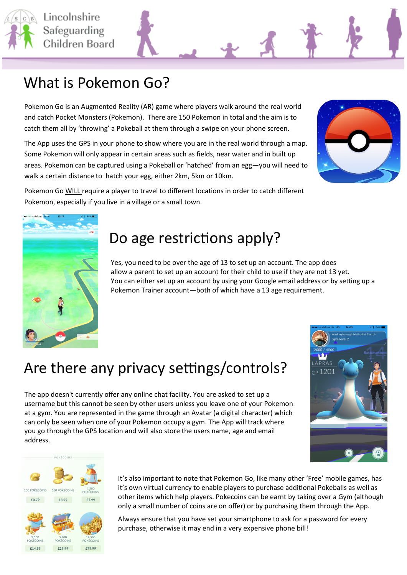

### What is Pokemon Go?

Pokemon Go is an Augmented Reality (AR) game where players walk around the real world and catch Pocket Monsters (Pokemon). There are 150 Pokemon in total and the aim is to catch them all by 'throwing' a Pokeball at them through a swipe on your phone screen.

The App uses the GPS in your phone to show where you are in the real world through a map. Some Pokemon will only appear in certain areas such as fields, near water and in built up areas. Pokemon can be captured using a Pokeball or 'hatched' from an egg—you will need to walk a certain distance to hatch your egg, either 2km, 5km or 10km.



Pokemon Go WILL require a player to travel to different locations in order to catch different Pokemon, especially if you live in a village or a small town.



### Do age restrictions apply?

Yes, you need to be over the age of 13 to set up an account. The app does allow a parent to set up an account for their child to use if they are not 13 yet. You can either set up an account by using your Google email address or by setting up a Pokemon Trainer account—both of which have a 13 age requirement.

# Are there any privacy settings/controls?

The app doesn't currently offer any online chat facility. You are asked to set up a username but this cannot be seen by other users unless you leave one of your Pokemon at a gym. You are represented in the game through an Avatar (a digital character) which can only be seen when one of your Pokemon occupy a gym. The App will track where you go through the GPS location and will also store the users name, age and email address.





It's also important to note that Pokemon Go, like many other 'Free' mobile games, has it's own virtual currency to enable players to purchase additional Pokeballs as well as other items which help players. Pokecoins can be earnt by taking over a Gym (although only a small number of coins are on offer) or by purchasing them through the App.

Always ensure that you have set your smartphone to ask for a password for every purchase, otherwise it may end in a very expensive phone bill!